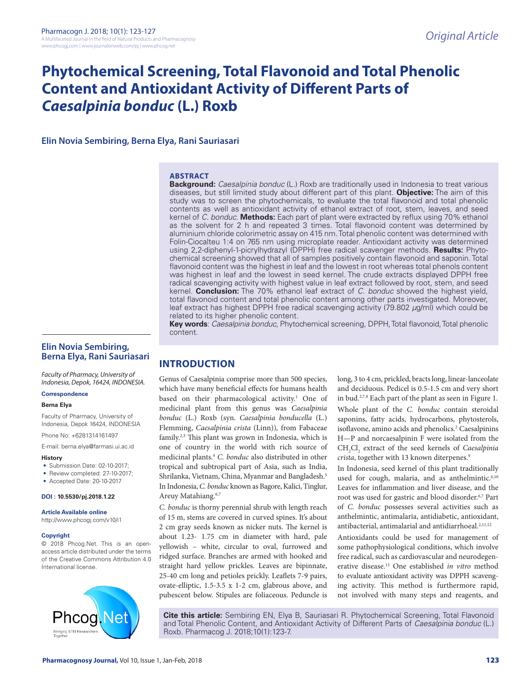# **Phytochemical Screening, Total Flavonoid and Total Phenolic Content and Antioxidant Activity of Different Parts of**  *Caesalpinia bonduc* **(L.) Roxb**

**Elin Novia Sembiring, Berna Elya, Rani Sauriasari**

### **ABSTRACT**

**Background:** *Caesalpinia bonduc* (L.) Roxb are traditionally used in Indonesia to treat various diseases, but still limited study about different part of this plant. **Objective:** The aim of this study was to screen the phytochemicals, to evaluate the total flavonoid and total phenolic contents as well as antioxidant activity of ethanol extract of root, stem, leaves, and seed kernel of *C. bonduc*. **Methods:** Each part of plant were extracted by reflux using 70% ethanol as the solvent for 2 h and repeated 3 times. Total flavonoid content was determined by aluminium chloride colorimetric assay on 415 nm. Total phenolic content was determined with Folin-Ciocalteu 1:4 on 765 nm using microplate reader. Antioxidant activity was determined using 2,2-diphenyl-1-picrylhydrazyl (DPPH) free radical scavenger methods. **Results:** Phytochemical screening showed that all of samples positively contain flavonoid and saponin. Total flavonoid content was the highest in leaf and the lowest in root whereas total phenols content was highest in leaf and the lowest in seed kernel. The crude extracts displayed DPPH free radical scavenging activity with highest value in leaf extract followed by root, stem, and seed kernel. **Conclusion:** The 70% ethanol leaf extract of *C. bonduc* showed the highest yield, total flavonoid content and total phenolic content among other parts investigated. Moreover, leaf extract has highest DPPH free radical scavenging activity (79.802 *µ*g/ml) which could be related to its higher phenolic content.

**Key words**: *Caesalpinia bonduc*, Phytochemical screening, DPPH, Total flavonoid, Total phenolic content.

### **Elin Novia Sembiring, Berna Elya, Rani Sauriasari**

*Faculty of Pharmacy, University of Indonesia, Depok, 16424, INDONESIA.*

#### **Correspondence**

#### **Berna Elya**

Faculty of Pharmacy, University of Indonesia, Depok 16424, INDONESIA

Phone No: +6281314161497

E-mail: berna.elya@farmasi.ui.ac.id

#### **History**

- Submission Date: 02-10-2017;
- Review completed: 27-10-2017:
- Accepted Date: 20-10-2017

**DOI : 10.5530/pj.2018.1.22**

#### **Article Available online**

http://www.phcogj.com/v10/i1

#### **Copyright**

© 2018 Phcog.Net. This is an openaccess article distributed under the terms of the Creative Commons Attribution 4.0 International license.



## **INTRODUCTION**

Genus of Caesalpinia comprise more than 500 species, which have many beneficial effects for humans health based on their pharmacological activity.<sup>1</sup> One of medicinal plant from this genus was *Caesalpinia bonduc* (L.) Roxb (syn. *Caesalpinia bonducella* (L.) Flemming, *Caesalpinia crista* (Linn))*,* from Fabaceae family.2,3 This plant was grown in Indonesia, which is one of country in the world with rich source of medicinal plants.4 *C. bonduc* also distributed in other tropical and subtropical part of Asia, such as India, Shrilanka, Vietnam, China, Myanmar and Bangladesh.5 In Indonesia, *C. bonduc* known as Bagore, Kalici, Tinglur, Areuy Matahiang.<sup>6,7</sup>

*C. bonduc* is thorny perennial shrub with length reach of 15 m, stems are covered in curved spines. It's about 2 cm gray seeds known as nicker nuts. The kernel is about 1.23- 1.75 cm in diameter with hard, pale yellowish – white, circular to oval, furrowed and ridged surface. Branches are armed with hooked and straight hard yellow prickles. Leaves are bipinnate, 25-40 cm long and petioles prickly. Leaflets 7-9 pairs, ovate-elliptic, 1.5-3.5 x 1-2 cm, glabrous above, and pubescent below. Stipules are foliaceous. Peduncle is long, 3 to 4 cm, prickled, bracts long, linear-lanceolate and deciduous. Pedicel is 0.5-1.5 cm and very short in bud.2,7,8 Each part of the plant as seen in Figure 1. Whole plant of the *C. bonduc* contain steroidal saponins, fatty acids, hydrocarbons, phytosterols, isoflavone, amino acids and phenolics.<sup>2</sup> Caesalpinins H—P and norcaesalpinin F were isolated from the CH2 Cl2 extract of the seed kernels of *Caesalpinia crista*, together with 13 known diterpenes.<sup>9</sup>

In Indonesia, seed kernel of this plant traditionally used for cough, malaria, and as anthelmintic.<sup>6,10</sup> Leaves for inflammation and liver disease, and the root was used for gastric and blood disorder.<sup>6,7</sup> Part of *C. bonduc* possesses several activities such as anthelmintic, antimalaria, antidiabetic, antioxidant, antibacterial, antimalarial and antidiarrhoeal.<sup>2,11,12</sup>

Antioxidants could be used for management of some pathophysiological conditions, which involve free radical, such as cardiovascular and neurodegenerative disease.13 One established *in vitro* method to evaluate antioxidant activity was DPPH scavenging activity. This method is furthermore rapid, not involved with many steps and reagents, and

**Cite this article:** Sembiring EN, Elya B, Sauriasari R. Phytochemical Screening, Total Flavonoid and Total Phenolic Content, and Antioxidant Activity of Different Parts of *Caesalpinia bonduc* (L.) Roxb. Pharmacog J. 2018;10(1):123-7.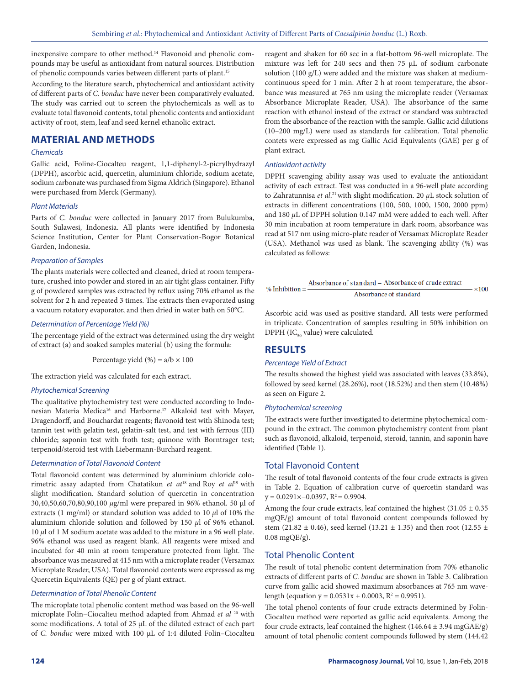inexpensive compare to other method.<sup>14</sup> Flavonoid and phenolic compounds may be useful as antioxidant from natural sources. Distribution of phenolic compounds varies between different parts of plant.15

According to the literature search, phytochemical and antioxidant activity of different parts of *C. bonduc* have never been comparatively evaluated. The study was carried out to screen the phytochemicals as well as to evaluate total flavonoid contents, total phenolic contents and antioxidant activity of root, stem, leaf and seed kernel ethanolic extract.

### **MATERIAL AND METHODS**

### *Chemicals*

Gallic acid, Foline-Ciocalteu reagent, 1,1-diphenyl-2-picrylhydrazyl (DPPH), ascorbic acid, quercetin, aluminium chloride, sodium acetate, sodium carbonate was purchased from Sigma Aldrich (Singapore). Ethanol were purchased from Merck (Germany).

#### *Plant Materials*

Parts of *C. bonduc* were collected in January 2017 from Bulukumba, South Sulawesi, Indonesia. All plants were identified by Indonesia Science Institution, Center for Plant Conservation-Bogor Botanical Garden, Indonesia.

#### *Preparation of Samples*

The plants materials were collected and cleaned, dried at room temperature, crushed into powder and stored in an air tight glass container. Fifty g of powdered samples was extracted by reflux using 70% ethanol as the solvent for 2 h and repeated 3 times. The extracts then evaporated using a vacuum rotatory evaporator, and then dried in water bath on 50°C.

#### *Determination of Percentage Yield (%)*

The percentage yield of the extract was determined using the dry weight of extract (a) and soaked samples material (b) using the formula:

Percentage yield  $(\% ) = a/b \times 100$ 

The extraction yield was calculated for each extract.

### *Phytochemical Screening*

The qualitative phytochemistry test were conducted according to Indonesian Materia Medica<sup>16</sup> and Harborne.<sup>17</sup> Alkaloid test with Mayer, Dragendorff, and Bouchardat reagents; flavonoid test with Shinoda test; tannin test with gelatin test, gelatin-salt test, and test with ferrous (III) chloride; saponin test with froth test; quinone with Borntrager test; terpenoid/steroid test with Liebermann-Burchard reagent.

#### *Determination of Total Flavonoid Content*

Total flavonoid content was determined by aluminium chloride colorimetric assay adapted from Chatatikun *et at*18 and Roy *et al*19 with slight modification. Standard solution of quercetin in concentration 30,40,50,60,70,80,90,100 *µ*g/ml were prepared in 96% ethanol. 50 µl of extracts (1 mg/ml) or standard solution was added to 10 *µ*l of 10% the aluminium chloride solution and followed by 150 *µ*l of 96% ethanol. 10 *µ*l of 1 M sodium acetate was added to the mixture in a 96 well plate. 96% ethanol was used as reagent blank. All reagents were mixed and incubated for 40 min at room temperature protected from light. The absorbance was measured at 415 nm with a microplate reader (Versamax Microplate Reader, USA). Total flavonoid contents were expressed as mg Quercetin Equivalents (QE) per g of plant extract.

#### *Determination of Total Phenolic Content*

The microplate total phenolic content method was based on the 96-well microplate Folin–Ciocalteu method adapted from Ahmad *et al* 20 with some modifications. A total of 25 μL of the diluted extract of each part of *C. bonduc* were mixed with 100 μL of 1:4 diluted Folin–Ciocalteu

reagent and shaken for 60 sec in a flat-bottom 96-well microplate. The mixture was left for 240 secs and then 75 μL of sodium carbonate solution (100 g/L) were added and the mixture was shaken at mediumcontinuous speed for 1 min. After 2 h at room temperature, the absorbance was measured at 765 nm using the microplate reader (Versamax Absorbance Microplate Reader, USA). The absorbance of the same reaction with ethanol instead of the extract or standard was subtracted from the absorbance of the reaction with the sample. Gallic acid dilutions (10–200 mg/L) were used as standards for calibration. Total phenolic contets were expressed as mg Gallic Acid Equivalents (GAE) per g of plant extract.

#### *Antioxidant activity*

DPPH scavenging ability assay was used to evaluate the antioxidant activity of each extract. Test was conducted in a 96-well plate according to Zahratunnisa *et al*. 21 with slight modification. 20 *µ*L stock solution of extracts in different concentrations (100, 500, 1000, 1500, 2000 ppm) and 180 *µ*L of DPPH solution 0.147 mM were added to each well. After 30 min incubation at room temperature in dark room, absorbance was read at 517 nm using micro-plate reader of Versamax Microplate Reader (USA). Methanol was used as blank. The scavenging ability (%) was calculated as follows:

$$
\% Inhibition = \frac{Absorbance of standard - Absorbance of crude extract}{Absorbance of standard} \times 100
$$

Ascorbic acid was used as positive standard. All tests were performed in triplicate. Concentration of samples resulting in 50% inhibition on DPPH (IC $_{50}$  value) were calculated.

### **RESULTS**

#### *Percentage Yield of Extract*

The results showed the highest yield was associated with leaves (33.8%), followed by seed kernel (28.26%), root (18.52%) and then stem (10.48%) as seen on Figure 2.

#### *Phytochemical screening*

The extracts were further investigated to determine phytochemical compound in the extract. The common phytochemistry content from plant such as flavonoid, alkaloid, terpenoid, steroid, tannin, and saponin have identified (Table 1).

### Total Flavonoid Content

The result of total flavonoid contents of the four crude extracts is given in Table 2. Equation of calibration curve of quercetin standard was  $y = 0.0291 \times -0.0397$ ,  $R^2 = 0.9904$ .

Among the four crude extracts, leaf contained the highest  $(31.05 \pm 0.35$ mgQE/g) amount of total flavonoid content compounds followed by stem (21.82  $\pm$  0.46), seed kernel (13.21  $\pm$  1.35) and then root (12.55  $\pm$ 0.08 mgQE/g).

### Total Phenolic Content

The result of total phenolic content determination from 70% ethanolic extracts of different parts of *C. bonduc* are shown in Table 3. Calibration curve from gallic acid showed maximum absorbances at 765 nm wavelength (equation  $y = 0.0531x + 0.0003$ ,  $R^2 = 0.9951$ ).

The total phenol contents of four crude extracts determined by Folin-Ciocalteu method were reported as gallic acid equivalents. Among the four crude extracts, leaf contained the highest  $(146.64 \pm 3.94 \text{ mgGAE/g})$ amount of total phenolic content compounds followed by stem (144.42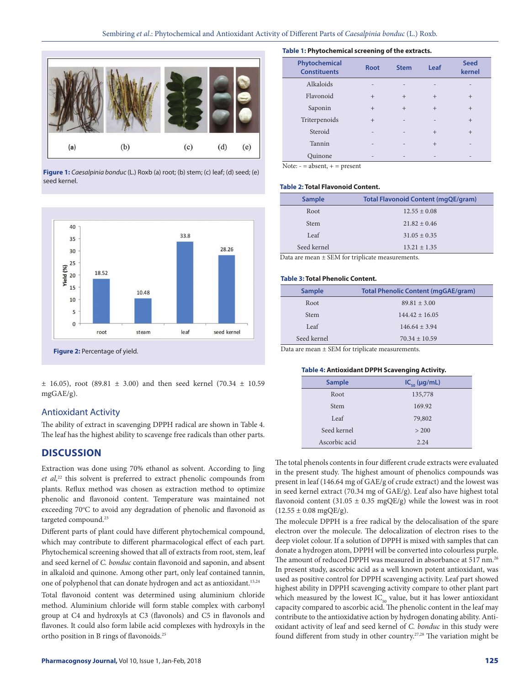

**Figure 1:** *Caesalpinia bonduc* (L.) Roxb (a) root; (b) stem; (c) leaf; (d) seed; (e) seed kernel.



**Figure 2:** Percentage of yield.

 $\pm$  16.05), root (89.81  $\pm$  3.00) and then seed kernel (70.34  $\pm$  10.59 mgGAE/g).

### Antioxidant Activity

The ability of extract in scavenging DPPH radical are shown in Table 4. The leaf has the highest ability to scavenge free radicals than other parts.

### **DISCUSSION**

Extraction was done using 70% ethanol as solvent. According to Jing *et al,*22 this solvent is preferred to extract phenolic compounds from plants. Reflux method was chosen as extraction method to optimize phenolic and flavonoid content. Temperature was maintained not exceeding 70°C to avoid any degradation of phenolic and flavonoid as targeted compound.23

Different parts of plant could have different phytochemical compound, which may contribute to different pharmacological effect of each part. Phytochemical screening showed that all of extracts from root, stem, leaf and seed kernel of *C. bonduc* contain flavonoid and saponin, and absent in alkaloid and quinone. Among other part, only leaf contained tannin, one of polyphenol that can donate hydrogen and act as antioxidant.<sup>15,24</sup>

Total flavonoid content was determined using aluminium chloride method. Aluminium chloride will form stable complex with carbonyl group at C4 and hydroxyls at C3 (flavonols) and C5 in flavonols and flavones. It could also form labile acid complexes with hydroxyls in the ortho position in B rings of flavonoids.25

| Table 1: Phytochemical screening of the extracts. |  |  |
|---------------------------------------------------|--|--|
|                                                   |  |  |

| Phytochemical<br><b>Constituents</b> | <b>Root</b> | <b>Stem</b> | Leaf           | <b>Seed</b><br>kernel |
|--------------------------------------|-------------|-------------|----------------|-----------------------|
| Alkaloids                            | ۰           |             | $\overline{a}$ |                       |
| Flavonoid                            | $+$         | $+$         | $^{+}$         | $+$                   |
| Saponin                              | $+$         | $+$         | $+$            | $+$                   |
| Triterpenoids                        | $^{+}$      | ۰           | $\overline{a}$ | $+$                   |
| Steroid                              | -           | ۰           | $^{+}$         | $+$                   |
| Tannin                               | ۰           |             | $^{+}$         | -                     |
| Ouinone                              |             |             |                |                       |

 $\overline{\text{Note: } }$  = absent, + = present

#### **Table 2: Total Flavonoid Content.**

| <b>Sample</b> | <b>Total Flavonoid Content (mgQE/gram)</b> |
|---------------|--------------------------------------------|
| Root          | $12.55 \pm 0.08$                           |
| <b>Stem</b>   | $21.82 \pm 0.46$                           |
| Leaf          | $31.05 \pm 0.35$                           |
| Seed kernel   | $13.21 + 1.35$                             |

Data are mean ± SEM for triplicate measurements.

#### **Table 3: Total Phenolic Content.**

| <b>Sample</b> | <b>Total Phenolic Content (mgGAE/gram)</b> |
|---------------|--------------------------------------------|
| Root          | $89.81 \pm 3.00$                           |
| <b>Stem</b>   | $144.42 + 16.05$                           |
| Leaf          | $146.64 + 3.94$                            |
| Seed kernel   | $70.34 \pm 10.59$                          |

Data are mean ± SEM for triplicate measurements.

#### **Table 4: Antioxidant DPPH Scavenging Activity.**

| <b>Sample</b> | $IC_{50}$ (µg/mL) |  |
|---------------|-------------------|--|
| Root          | 135,778           |  |
| <b>Stem</b>   | 169.92            |  |
| Leaf          | 79,802            |  |
| Seed kernel   | > 200             |  |
| Ascorbic acid | 2.24              |  |

The total phenols contents in four different crude extracts were evaluated in the present study. The highest amount of phenolics compounds was present in leaf (146.64 mg of GAE/g of crude extract) and the lowest was in seed kernel extract (70.34 mg of GAE/g). Leaf also have highest total flavonoid content (31.05  $\pm$  0.35 mgQE/g) while the lowest was in root  $(12.55 \pm 0.08 \text{ mgQE/g}).$ 

The molecule DPPH is a free radical by the delocalisation of the spare electron over the molecule. The delocalization of electron rises to the deep violet colour. If a solution of DPPH is mixed with samples that can donate a hydrogen atom, DPPH will be converted into colourless purple. The amount of reduced DPPH was measured in absorbance at 517 nm.<sup>26</sup> In present study, ascorbic acid as a well known potent antioxidant, was used as positive control for DPPH scavenging activity. Leaf part showed highest ability in DPPH scavenging activity compare to other plant part which measured by the lowest  $IC_{50}$  value, but it has lower antioxidant capacity compared to ascorbic acid. The phenolic content in the leaf may contribute to the antioxidative action by hydrogen donating ability. Antioxidant activity of leaf and seed kernel of *C. bonduc* in this study were found different from study in other country.<sup>27,28</sup> The variation might be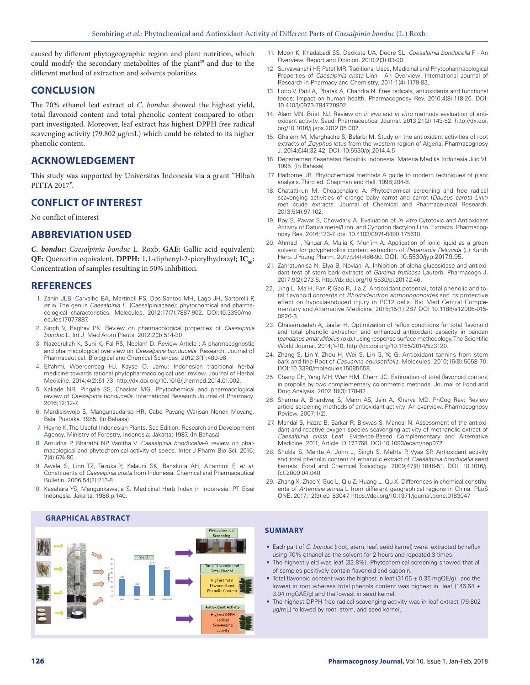caused by different phytogeographic region and plant nutrition, which could modify the secondary metabolites of the plant<sup>29</sup> and due to the different method of extraction and solvents polarities.

### **CONCLUSION**

The 70% ethanol leaf extract of *C. bonduc* showed the highest yield, total flavonoid content and total phenolic content compared to other part investigated. Moreover, leaf extract has highest DPPH free radical scavenging activity (79.802 *µ*g/mL) which could be related to its higher phenolic content.

### **ACKNOWLEDGEMENT**

This study was supported by Universitas Indonesia via a grant "Hibah PITTA 2017".

### **CONFLICT OF INTEREST**

No conflict of interest

### **ABBREVIATION USED**

*C. bonduc***:** *Caesalpinia bonduc* L. Roxb; **GAE:** Gallic acid equivalent; **QE:** Quercetin equivalent, **DPPH:** 1,1-diphenyl-2-picrylhydrazyl; **IC**<sub>50</sub>: Concentration of samples resulting in 50% inhibition.

### **REFERENCES**

- 1. Zanin JLB, Carvalho BA, Martineli PS, Dos-Santos MH, Lago JH, Sartorelli P, *et al*. The genus *Caesalpinia L.* (Caesalpiniaceae): phytochemical and pharmacological characteristics. Molecules*.* 2012;17(7):7887-902. DOI:10.3390/molecules17077887.
- 2. Singh V, Raghav PK. Review on pharmacological properties of *Caesalpinia bonduc* L*.* Int J. Med Arom Plants. 2012;2(3):514-30.
- 3. Nazeerullah K, Suni K, Pal RS, Neelam D*.* Review Article : A pharmacognostic and pharmacological overview on *Caesalpinia bonducella*. Research. Journal of Pharmaceutical. Biological and Chemical Sciences*.* 2012;3(1):480-96.
- 4. Elfahmi, Woerdenbag HJ, Kayse O. Jamu: Indonesian traditional herbal medicine towards rational phytopharmacological use: review. Journal of Herbal Medicine. 2014;4(2):51-73. http://dx.doi.org/10.1016/j.hermed.2014.01.002.
- 5. Kakade NR, Pingale SS, Chaskar MG. Phytochemical and pharmacological review of *Caesalpinia bonducella*. International Research Journal of Pharmacy. 2016;12:12-7.
- 6. Mardisiswojo S, Mangunsudarso HR. Cabe Puyang Warisan Nenek Moyang. Balai Pustaka. 1985. (In Bahasa)
- 7. Heyne K. The Useful Indonesian Plants. Sec Edition. Research and Development Agency, Ministry of Forestry, Indonesia: Jakarta; 1987. (In Bahasa)
- 8. Amudha P, Bharathi NP, Vanitha V. *Caesalpinia bonducella-*A review on pharmacological and phytochemical activity of seeds. Inter J Pharm Bio Sci. 2016; 7(4):674-80.
- 9. Awale S, Linn TZ, Tezuka Y, Kalauni SK, Banskota AH, Attamimi F, *et al*. Constituents of *Caesalpinia crista* from Indonesia. Chemical and Pharmaceutical Bulletin. 2006;54(2):213-8.
- 10. Kasahara YS, Mangunkawatja S. Medicinal Herb Index in Indonesia. PT Eisai Indonesia. Jakarta. 1986.p.140.
- 11. Moon K, Khadabadi SS, Deokate UA, Deore SL. *Caesalpinia bonducella* F An Overview. Report and Opinion. 2010;2(3):83-90.
- 12. Suryawanshi HP, Patel MR. Traditional Uses, Medicinal and Phytopharmacological Properties of *Caesalpinia crista* Linn - An Overview*.* International Journal of Research in Pharmacy and Chemistry. 2011;1(4):1179-83.
- 13. Lobo V, Patil A, Phatak A, Chandra N. Free radicals, antioxidants and functional foods: Impact on human health. Pharmacognosy Rev. 2010;4(8):118-26. DOI: 10.4103/0973-7847.70902.
- 14. Alam MN, Bristi NJ. Review on *in vivo* and *in vitro* methods evaluation of antioxidant activity. Saudi Pharmaceutical Journal. 2013;21(2):143-52. http://dx.doi. org/10.1016/j.jsps.2012.05.002.
- 15. Ghalem M, Merghache S, Belarbi M. Study on the antioxidant activities of root extracts of *Zizyphus lotus* from the western region of Algeria*.* Pharmacognosy J. 2014;6(4):32-42. DOI: 10.5530/pj.2014.4.5
- 16. Departemen Kesehatan Republik Indonesia. Materia Medika Indonesia Jilid VI. 1995. (In Bahasa)
- 17. Harborne JB. Phytochemical methods A guide to modern techniques of plant analysis. Third ed. Chapman and Hall. 1998;204-8.
- 18. Chatattikun M, Choabchalard A. Phytochemical screening and free radical scavenging activities of orange baby carrot and carrot (*Daucus carota Linn*) root crude extracts. Journal of Chemical and Pharmaceutical Research. 2013;5(4):97-102.
- 19. Roy S, Pawar S, Chowdary A. Evaluation of *in vitro* Cytotoxic and Antioxidant Activity of Datura metel/Linn. and Cynodon dactylon Linn. Extracts. Pharmacognosy Res. 2016;123-7. doi: 10.4103/0974-8490.175610.
- Ahmad I, Yanuar A, Mulia K, Mun'im A. Application of ionic liquid as a green solvent for polyphenolics content extraction of *Peperomia Pellucida* (L) Kunth Herb. J Young Pharm. 2017;9(4):486-90. DOI: 10.5530/jyp.2017.9.95.
- 21. Zahratunnisa N, Elya B, Noviani A. Inhibition of alpha glucosidase and antioxidant test of stem bark extracts of *Garcinia fruticosa* Lauterb*.* Pharmacogn J*.* 2017;9(2):273-5. http://dx.doi.org/10.5530/pj.2017.2.46.
- 22. Jing L, Ma H, Fan P, Gao R, Jia Z. Antioxidant potential, total phenolic and total flavonoid contents of *Rhododendron anthopogonoides* and its protective effect on hypoxia-induced injury in PC12 cells. Bio Med Central Complementary and Alternative Medicine. 2015;15(1):287. DOI 10.1186/s12906-015- 0820-3.
- 23. Ghasemzadeh A, Jaafar H. Optimization of reflux conditions for total flavonoid and total phenolic extraction and enhanced antioxidant capacity in pandan (*pandanus amaryllifolius roxb*.) using response surface methodology. The Scientific World Journal. 2014;1-10. http://dx.doi.org/10.1155/2014/523120.
- 24. Zhang S, Lin Y, Zhou H, Wei S, Lin G, Ye G. Antioxidant tannins from stem bark and fine Root of *Casuarina equisetifolia*, Molecules, 2010;15(8):5658-70. DOI:10.3390/molecules15085658.
- 25. Chang CH, Yang MH, Wen HM, Chern JC. Estimation of total flavonoid content in propolis by two complementary colorimetric methods. Journal of Food and Drug Analysis. 2002;10(3):178-82.
- 26. Sharma A, Bhardwaj S, Mann AS, Jain A, Kharya MD. PhCog Rev: Review article screening methods of antioxidant activity: An overview*.* Pharmacognosy Review. 2007;1(2).
- 27. Mandal S, Hazra B, Sarkar R, Biswas S, Mandal N. Assessment of the antioxidant and reactive oxygen species scavenging activity of methanolic extract of *Caesalpinia crista* Leaf. Evidence-Based Complementary and Alternative Medicine. 2011, Article ID 173768. DOI:10.1093/ecam/nep072.
- 28. Shukla S, Mehta A, John J, Singh S, Mehta P, Vyas SP. Antioxidant activity and total phenolic content of ethanolic extract of *Caesalpinia bonducella* seed kernels*.* Food and Chemical Toxicology*.* 2009;47(8):1848-51. DOI: 10.1016/j. fct.2009.04.040.
- 29. Zhang X, Zhao Y, Guo L, Qiu Z, Huang L, Qu X. Differences in chemical constituents of *Artemisia annua* L from different geographical regions in China. PLoS ONE. 2017;12(9):e0183047. https://doi.org/10.1371/journal.pone.0183047.

#### **SUMMARY**

- Each part of *C. bonduc* (root, stem, leaf, seed kernel) were extracted by reflux using 70% ethanol as the solvent for 2 hours and repeated 3 times.
- The highest yield was leaf (33.8%). Phytochemical screening showed that all of samples positively contain flavonoid and saponin.
- Total flavonoid content was the highest in leaf (31.05  $\pm$  0.35 mgQE/g) and the lowest in root whereas total phenols content was highest in leaf (146.64 ± 3.94 mgGAE/g) and the lowest in seed kernel.
- The highest DPPH free radical scavenging activity was in leaf extract (79.802 µg/mL) followed by root, stem, and seed kernel.

### **GRAPHICAL ABSTRACT**